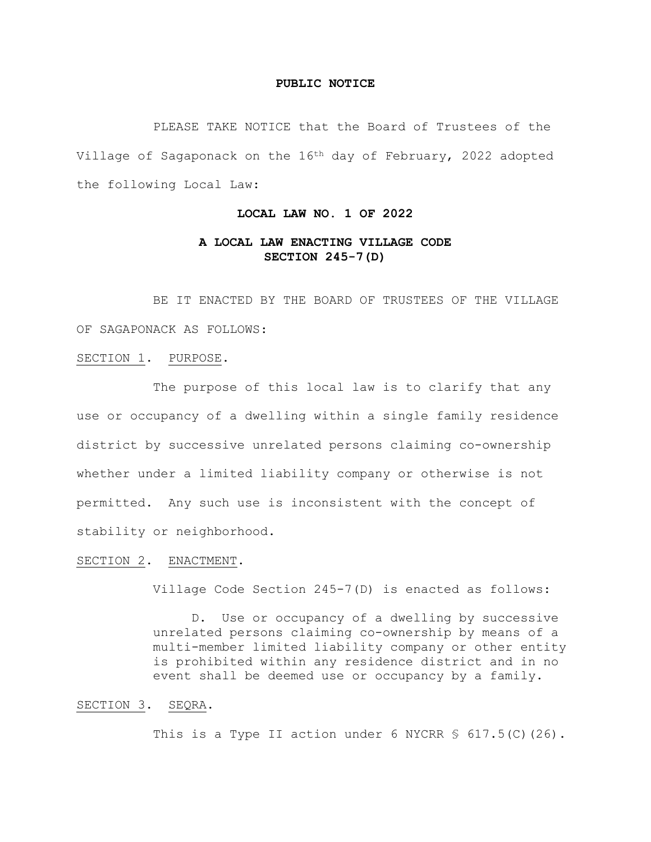#### **PUBLIC NOTICE**

PLEASE TAKE NOTICE that the Board of Trustees of the Village of Sagaponack on the 16th day of February, 2022 adopted the following Local Law:

# **LOCAL LAW NO. 1 OF 2022**

# **A LOCAL LAW ENACTING VILLAGE CODE SECTION 245-7(D)**

BE IT ENACTED BY THE BOARD OF TRUSTEES OF THE VILLAGE OF SAGAPONACK AS FOLLOWS:

#### SECTION 1. PURPOSE.

The purpose of this local law is to clarify that any use or occupancy of a dwelling within a single family residence district by successive unrelated persons claiming co-ownership whether under a limited liability company or otherwise is not permitted. Any such use is inconsistent with the concept of stability or neighborhood.

## SECTION 2. ENACTMENT.

Village Code Section 245-7(D) is enacted as follows:

D. Use or occupancy of a dwelling by successive unrelated persons claiming co-ownership by means of a multi-member limited liability company or other entity is prohibited within any residence district and in no event shall be deemed use or occupancy by a family.

#### SECTION 3. SEQRA.

This is a Type II action under 6 NYCRR  $$617.5(C) (26)$ .